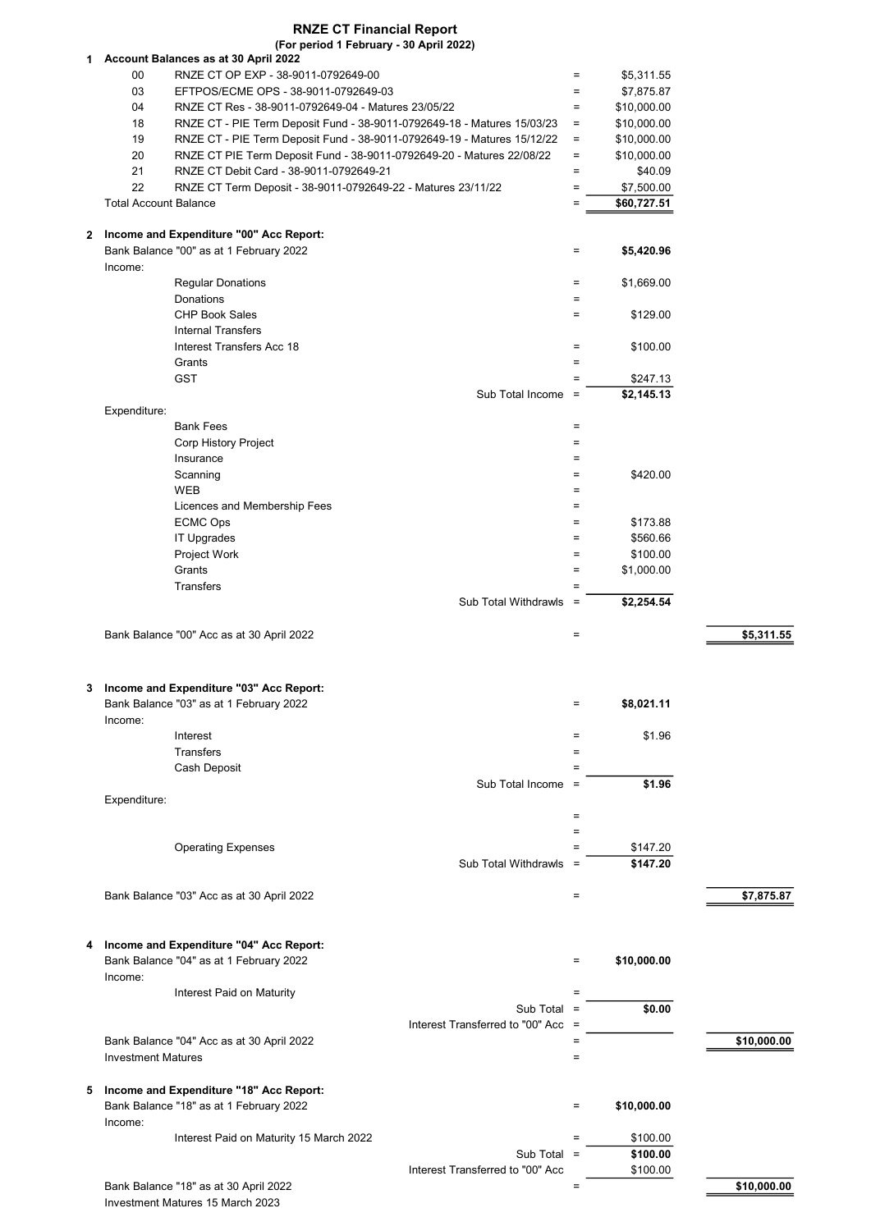1 Account Balances as at 30 April 2022 00 RNZE CT OP EXP - 38-9011-0792649-00 **EXP - \$5,311.55** experience the state of the state state state state state state state state state state state state state state state state state state state state state state state 03 EFTPOS/ECME OPS - 38-9011-0792649-03 = \$7,875.87 04 RNZE CT Res - 38-9011-0792649-04 - Matures 23/05/22 = \$10,000.00 18 RNZE CT - PIE Term Deposit Fund - 38-9011-0792649-18 - Matures 15/03/23 = \$10,000.00 19 RNZE CT - PIE Term Deposit Fund - 38-9011-0792649-19 - Matures 15/12/22 = \$10,000.00 20 RNZE CT PIE Term Deposit Fund - 38-9011-0792649-20 - Matures 22/08/22 = \$10,000.00 21 RNZE CT Debit Card - 38-9011-0792649-21 = \$40.09 22 RNZE CT Term Deposit - 38-9011-0792649-22 - Matures 23/11/22 = \$7,500.00 Total Account Balance  $\overline{a} = \frac{1}{\sqrt{560.727.51}}$ 2 Income and Expenditure "00" Acc Report:Bank Balance "00" as at 1 February 2022 **6.420.96 by Case 1.420.96 contract 1.53.420.96 contract 1.55,420.96** Income: Regular Donations  $\qquad \qquad \qquad =$  \$1,669.00 Donations  $=$ RNZE CT Financial Report (For period 1 February - 30 April 2022)

 $CHP$  Book Sales  $=$  \$129.00 Internal Transfers  $Interest Transfers Acc 18$   $=$  \$100.00 Grants  $=$  $GST$  = \$247.13 Sub Total Income  $=$   $\overline{\hspace{1.5em}}$  \$2.145.13 Expenditure: Bank Fees = Extending the state of the state of the state of the state of the state of the state of the state of the state of the state of the state of the state of the state of the state of the state of the state of the s Corp History Project **Exercise Exercise Exercise Corp History Project** Insurance  $=$  $\blacksquare$ Scanning  $\blacksquare$   $\blacksquare$  $WEB$   $=$ Licences and Membership Fees =  $\blacksquare$  $ECMC$  Ops  $=$  \$173.88  $\blacksquare$  IT Upgrades  $\blacksquare$  \$560.66  $\blacksquare$ Project Work  $\blacksquare$  \$100.00 Grants  $=$  \$1,000.00 Transfers **Executive Executive Contract Contract Contract Contract Contract Contract Contract Contract Contract Contract Contract Contract Contract Contract Contract Contract Contract Contract Contract Contract Contract Co** Sub Total Withdrawls  $=$   $\frac{1}{2}$  \$2,254.54

Bank Balance "00" Acc as at 30 April 2022  $\overline{\hspace{1.6cm}}$  = \$5.311.55

## 3 Income and Expenditure "03" Acc Report:

|              | Bank Balance "03" as at 1 February 2022 |                      | $=$ | \$8,021.11 |
|--------------|-----------------------------------------|----------------------|-----|------------|
| Income:      |                                         |                      |     |            |
|              | Interest                                |                      | =   | \$1.96     |
|              | Transfers                               |                      | $=$ |            |
|              | Cash Deposit                            |                      | $=$ |            |
|              |                                         | Sub Total Income =   |     | \$1.96     |
| Expenditure: |                                         |                      |     |            |
|              |                                         |                      | =   |            |
|              |                                         |                      | =   |            |
|              | <b>Operating Expenses</b>               |                      | =   | \$147.20   |
|              |                                         | Sub Total Withdrawls | Ξ   | \$147.20   |

Bank Balance "03" Acc as at 30 April 2022  $\bullet$  57,875.87

## 4 Income and Expenditure "04" Acc Report: Bank Balance "04" as at 1 February 2022 **6 10.000.00 by the state of the state of the state of the state of the state of the state of the state of the state of the state of the state of the state of the state of the stat** Income:

Interest Paid on Maturity =

Bank Balance "04" Acc as at 30 April 2022  $=$  \$10,000.00 **Investment Matures**   $=$ 

## 5 Income and Expenditure "18" Acc Report: Bank Balance "18" as at 1 February 2022 **6 10 and 2012 10.000.000 12.000.000 12.000.000 12.000 12.000 12.000 12.000 12.000 12.000 12.000 12.000 12.000 12.000 12.000 12.000 12.000 12.000 12.000 12.000 12.000 12.000 12.000** Income:

Interest Paid on Maturity 15 March 2022 **Example 2018 Example 2022 Example 2022 Example 2022** 

 $Sub Total =$  \$100.00 Interest Transferred to "00" Acc \$100.00

Interest Transferred to "00" Acc

 $Sub Total =$   $$0.00$